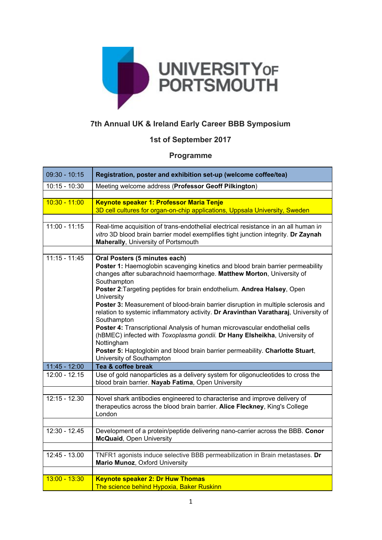

## **7th Annual UK & Ireland Early Career BBB Symposium**

## **1st of September 2017**

## **Programme**

| $09:30 - 10:15$                  | Registration, poster and exhibition set-up (welcome coffee/tea)                                                                                                                                                                                                                                                                                                                                                                                                                                                                                                                                                                                                                                                                                        |
|----------------------------------|--------------------------------------------------------------------------------------------------------------------------------------------------------------------------------------------------------------------------------------------------------------------------------------------------------------------------------------------------------------------------------------------------------------------------------------------------------------------------------------------------------------------------------------------------------------------------------------------------------------------------------------------------------------------------------------------------------------------------------------------------------|
| $10:15 - 10:30$                  | Meeting welcome address (Professor Geoff Pilkington)                                                                                                                                                                                                                                                                                                                                                                                                                                                                                                                                                                                                                                                                                                   |
|                                  |                                                                                                                                                                                                                                                                                                                                                                                                                                                                                                                                                                                                                                                                                                                                                        |
| $10:30 - 11:00$                  | Keynote speaker 1: Professor Maria Tenje<br>3D cell cultures for organ-on-chip applications, Uppsala University, Sweden                                                                                                                                                                                                                                                                                                                                                                                                                                                                                                                                                                                                                                |
|                                  |                                                                                                                                                                                                                                                                                                                                                                                                                                                                                                                                                                                                                                                                                                                                                        |
| $11:00 - 11:15$                  | Real-time acquisition of trans-endothelial electrical resistance in an all human in<br>vitro 3D blood brain barrier model exemplifies tight junction integrity. Dr Zaynah<br>Maherally, University of Portsmouth                                                                                                                                                                                                                                                                                                                                                                                                                                                                                                                                       |
|                                  |                                                                                                                                                                                                                                                                                                                                                                                                                                                                                                                                                                                                                                                                                                                                                        |
| $11:15 - 11:45$                  | Oral Posters (5 minutes each)<br>Poster 1: Haemoglobin scavenging kinetics and blood brain barrier permeability<br>changes after subarachnoid haemorrhage. Matthew Morton, University of<br>Southampton<br>Poster 2: Targeting peptides for brain endothelium. Andrea Halsey, Open<br>University<br>Poster 3: Measurement of blood-brain barrier disruption in multiple sclerosis and<br>relation to systemic inflammatory activity. Dr Aravinthan Varatharaj, University of<br>Southampton<br>Poster 4: Transcriptional Analysis of human microvascular endothelial cells<br>(hBMEC) infected with Toxoplasma gondii. Dr Hany Elsheikha, University of<br>Nottingham<br>Poster 5: Haptoglobin and blood brain barrier permeability. Charlotte Stuart, |
|                                  | University of Southampton                                                                                                                                                                                                                                                                                                                                                                                                                                                                                                                                                                                                                                                                                                                              |
| 11:45 - 12:00<br>$12:00 - 12.15$ | Tea & coffee break<br>Use of gold nanoparticles as a delivery system for oligonucleotides to cross the<br>blood brain barrier. Nayab Fatima, Open University                                                                                                                                                                                                                                                                                                                                                                                                                                                                                                                                                                                           |
|                                  |                                                                                                                                                                                                                                                                                                                                                                                                                                                                                                                                                                                                                                                                                                                                                        |
| $12:15 - 12.30$                  | Novel shark antibodies engineered to characterise and improve delivery of<br>therapeutics across the blood brain barrier. Alice Fleckney, King's College<br>London                                                                                                                                                                                                                                                                                                                                                                                                                                                                                                                                                                                     |
|                                  |                                                                                                                                                                                                                                                                                                                                                                                                                                                                                                                                                                                                                                                                                                                                                        |
| $12:30 - 12.45$                  | Development of a protein/peptide delivering nano-carrier across the BBB. Conor<br>McQuaid, Open University                                                                                                                                                                                                                                                                                                                                                                                                                                                                                                                                                                                                                                             |
|                                  |                                                                                                                                                                                                                                                                                                                                                                                                                                                                                                                                                                                                                                                                                                                                                        |
| $12:45 - 13.00$                  | TNFR1 agonists induce selective BBB permeabilization in Brain metastases. Dr<br>Mario Munoz, Oxford University                                                                                                                                                                                                                                                                                                                                                                                                                                                                                                                                                                                                                                         |
|                                  |                                                                                                                                                                                                                                                                                                                                                                                                                                                                                                                                                                                                                                                                                                                                                        |
| $13:00 - 13:30$                  | <b>Keynote speaker 2: Dr Huw Thomas</b><br>The science behind Hypoxia, Baker Ruskinn                                                                                                                                                                                                                                                                                                                                                                                                                                                                                                                                                                                                                                                                   |